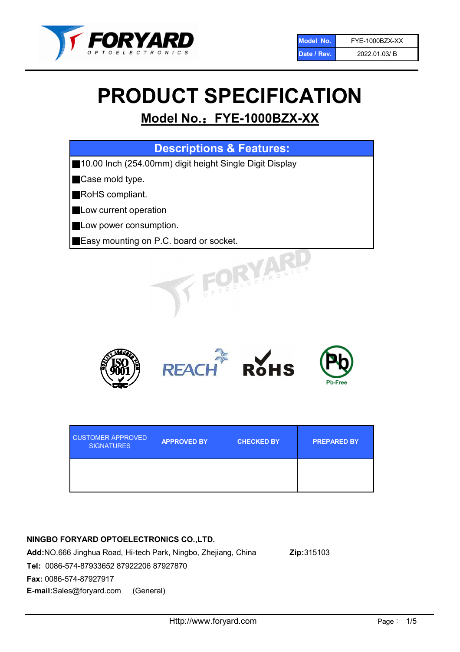

# PRODUCT SPECIFICATION

## Model No.: FYE-1000BZX-XX

## Descriptions & Features:

■10.00 Inch (254.00mm) digit height Single Digit Display

■Case mold type.

■RoHS compliant.

- **Low current operation**
- **Low power consumption.**
- ■Easy mounting on P.C. board or socket.



| <b>CUSTOMER APPROVED</b><br><b>SIGNATURES</b> | <b>APPROVED BY</b> | <b>CHECKED BY</b> | <b>PREPARED BY</b> |
|-----------------------------------------------|--------------------|-------------------|--------------------|
|                                               |                    |                   |                    |

## NINGBO FORYARD OPTOELECTRONICS CO.,LTD.

Add:NO.666 Jinghua Road, Hi-tech Park, Ningbo, Zhejiang, China Zip:315103 Tel: 0086-574-87933652 87922206 87927870 Fax: 0086-574-87927917 E-mail:Sales@foryard.com (General)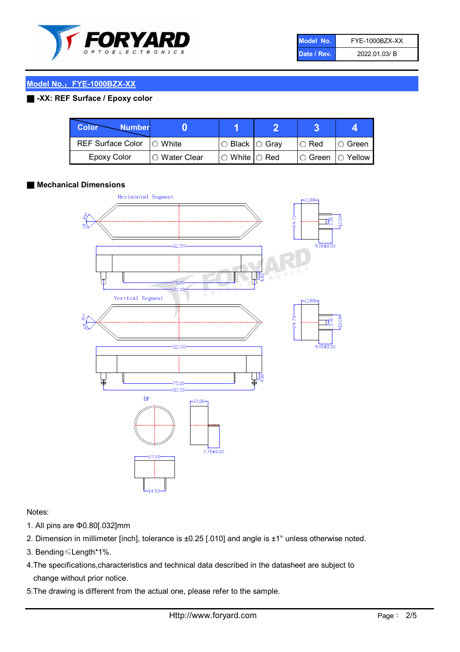

| Model No.   | FYE-1000BZX-XX |
|-------------|----------------|
| Date / Rev. | 2022.01.03/B   |

## Model No.: FYE-1000BZX-XX

## ■ -XX: REF Surface / Epoxy color

| Color<br><b>Number</b>     |                |                            |             |                |
|----------------------------|----------------|----------------------------|-------------|----------------|
| REF Surface Color  ○ White |                | $\circ$ Black $\circ$ Gray | $\circ$ Red | ∣O Green       |
| Epoxy Color                | I∩ Water Clear | $\circ$ White $\circ$ Red  | I⊖ Green.   | $\circ$ Yellow |

### ■ Mechanical Dimensions



### Notes:

- 1. All pins are Φ0.80[.032]mm
- 2. Dimension in millimeter [inch], tolerance is ±0.25 [.010] and angle is ±1° unless otherwise noted.
- 3. Bending≤Length\*1%.
- 4.The specifications,characteristics and technical data described in the datasheet are subject to change without prior notice.
- 5.The drawing is different from the actual one, please refer to the sample.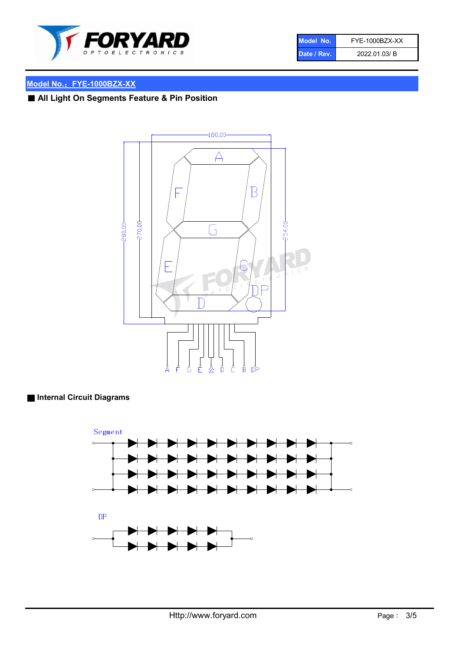

| Model No.   | FYE-1000BZX-XX |
|-------------|----------------|
| Date / Rev. | 2022.01.03/B   |

## Model No.: FYE-1000BZX-XX

## ■ All Light On Segments Feature & Pin Position



## ■ Internal Circuit Diagrams

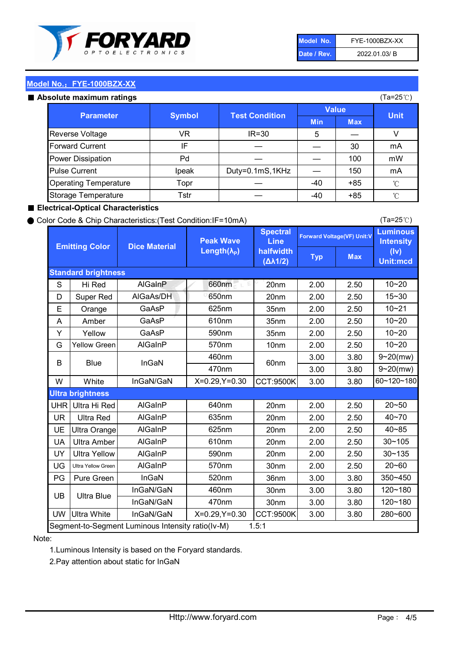

| Model No.   | FYE-1000BZX-XX |
|-------------|----------------|
| Date / Rev. | 2022.01.03/B   |

(Ta=25℃)

## Model No.: FYE-1000BZX-XX

#### Absolute maximum

| solute maximum ratings       |               |                       |            | (Ta=25℃)   |             |
|------------------------------|---------------|-----------------------|------------|------------|-------------|
| <b>Parameter</b>             | <b>Symbol</b> | <b>Test Condition</b> | Value      |            | <b>Unit</b> |
|                              |               |                       | <b>Min</b> | <b>Max</b> |             |
| Reverse Voltage              | VR            | IR=30                 | 5          |            |             |
| <b>Forward Current</b>       | IF            |                       |            | 30         | mA          |
| Power Dissipation            | Pd            |                       |            | 100        | mW          |
| <b>Pulse Current</b>         | Ipeak         | Duty=0.1mS,1KHz       |            | 150        | mA          |
| <b>Operating Temperature</b> | Topr          |                       | $-40$      | $+85$      | °C          |
| Storage Temperature          | Tstr          |                       | $-40$      | $+85$      | °C          |

#### ■ Electrical-Optical Characteristics

#### ● Color Code & Chip Characteristics:(Test Condition:IF=10mA)

Typ Max S | Hi $\textsf{Red}$  | AlGaInP | 660nm LE 20nm | 2.00 | 2.50 D | Super Red | AIGaAs/DH | 650nm | 20nm | 2.00 | 2.50 E | Orange | GaAsP | 625nm | 35nm | 2.00 | 2.50 A | Amber | GaAsP | 610nm | 35nm | 2.00 | 2.50 Y | Yellow | GaAsP | 590nm | 35nm | 2.00 | 2.50 G Yellow Green AIGaInP | 570nm | 10nm | 2.00 | 2.50 3.00 3.80 3.00 3.80 W | White | InGaN/GaN | X=0.29,Y=0.30 |CCT:9500K| 3.00 | 3.80 UHR Ultra Hi Red | AlGaInP | 640nm | 20nm | 2.00 | 2.50 UR | Ultra Red | AlGaInP | 635nm | 20nm | 2.00 | 2.50 UE Ultra Orange | AIGaInP | 625nm | 20nm | 2.00 | 2.50 UA Ultra Amber | AIGaInP | 610nm | 20nm | 2.00 | 2.50  $UV$  Ultra Yellow  $\vert$  AlGaInP  $\vert$  590nm  $\vert$  20nm  $\vert$  2.00  $\vert$  2.50  $\text{UG}$  Ultra Yellow Green | AIGaInP | 570nm | 30nm | 2.00 | 2.50 PG Pure Green | InGaN | 520nm | 36nm | 3.00 | 3.80 30nm 3.00 3.80 30nm 3.00 3.80 UW |Ultra White | InGaN/GaN | X=0.29,Y=0.30 |CCT:9500K| 3.00 | 3.80 40~85 60~120~180 40~70 Segment-to-Segment Luminous Intensity ratio(Iv-M) 1.5:1 610nm 9~20(mw) 350~450 470nm 120~180 120~180 Ultra Blue InGaN/GaN InGaN/GaN 9~20(mw) 20~50 280~600 570nm | 30nm | 2.00 | 2.50 | 20~60 470nm 590nm InGaN/GaN B Blue I InGaN 570nm | 10nm | 2.00 | 2.50 | 10~20 30~105 30~135 460nm 520nm Ultra brightness **AlGaInP** AlGaInP 60nm AlGaInP 640nm Peak Wave Length $(\lambda_{\rm P})$ UB 460nm 635nm AlGaInP AlGaInP AlGaInP InGaN/GaN AlGaInP Luminous **Intensity** (Iv) Unit:mcd AlGainP 660nm GaAsP GaAsP AlGaAs/DH **Spectral** Line halfwidth (∆λ1/2) 10~20 Standard brightness Forward Voltage(VF) Unit:V 15~30 10~20 625nm GaAsP 590nm **Emitting Color Dice Material** 10~21 610nm 10~20

### Note:

1.Luminous Intensity is based on the Foryard standards.

2.Pay attention about static for InGaN